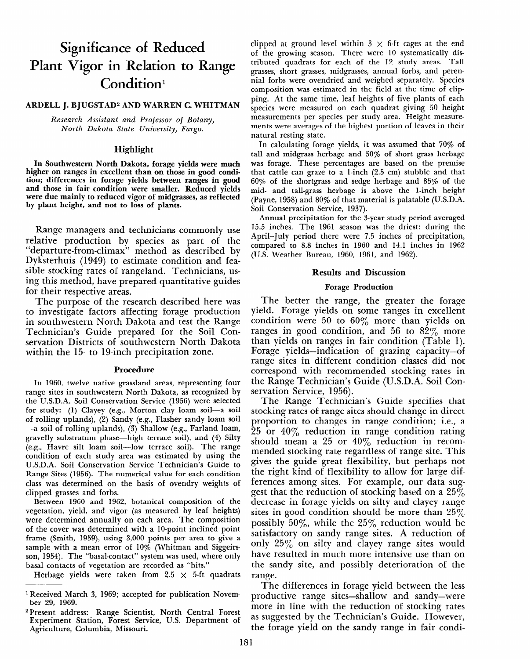# **Significance of Reduced Plant Vigor in Relation to Range Condition1**

#### **ARDELL J. BJUGSTAD<sup>2</sup> AND WARREN C. WHITMAN**

*Research Assistant and Professor of Botany, North Dakota State University, Fargo.* 

# Highlight

In Southwestern North Dakota, forage yields were much higher on ranges in excellent than on those in good condition; differences in forage yields between ranges in good and those in fair condition were smaller. Reduced yields were due mainly to reduced vigor of midgrasses, as reflected by plant height, and not to loss of plants.

Range managers and technicians commonly use relative production by species as part of the "departure-from-climax" method as described by Dyksterhuis (1949) to estimate condition and feasible stocking rates of rangeland. Technicians, using this method, have prepared quantitative guides for their respective areas.

The purpose of the research described here was to investigate factors affecting forage production in southwestern North Dakota and test the Range Technician's Guide prepared for the Soil Conservation Districts of southwestern North Dakota within the 15- to 19-inch precipitation zone.

### Procedure

In 1960, twelve native grassland areas, representing four range sites in southwestern North Dakota, as recognized by the U.S.D.A. Soil Conservation Service (1956) were selected for study: (1) Clayey (e.g., Morton clay loam soil-a soil of  $\sum_{i=1}^N$   $\sum_{i=1}^N$   $\sum_{i=1}^N$   $\sum_{i=1}^N$  solution  $\sum_{i=1}^N$  solution soil of forming uplands),  $\left(2\right)$  sandy  $\left(6, 6\right)$ , Faster sandy found some  $\left(6, 6\right)$ ,  $\left(1 - 6, 6\right)$ a soil of folling aplanus), (b) bliation (e.g., Farland fount, (e.g., Havre silt loam soil-low terrace soil). The range co.g., travic site want sont tow terrace son). The range condition of each study area was estimated by using the U.S.D.A. Soil Conservation Service Technician's Guide to Range Sites (1956). The numerical value for each condition class was determined on the basis of ovendry weights of clipped grasses and forbs. Between 1960 and 1960 and the theory of the theory of the theory of the theory of the theory of the theory of the theory of the theory of the theory of the theory of the theory of the theory of the theory of the theory of

 $v_{\text{c}}$  between 1500 and 1502, botanical composition of the vegetation, yield, and vigor (as measured by leaf heights) were determined annually on each area. The composition of the cover was determined with a 10-point inclined point frame (Smith, 1959), using  $3,000$  points per area to give a sample with a mean error of 10% (Whitman and Siggeirsson, 1954). The "basal-contact" system was used, where only

basal contacts of vegetation are recorded as "hits."<br>Herbage yields were taken from  $2.5 \times 5$ -ft quadrats

clipped at ground level within  $3 \times 6$ -ft cages at the end of the growing season. There were 10 systematically distributed quadrats for each of the 12 study areas. Tall grasses, short grasses, midgrasses, annual forbs, and perennial forbs were ovendried and weighed separately. Species composition was estimated in the field at the time of clipping. At the same time, leaf heights of five plants of each species were measured on each quadrat giving 50 height measurements per species per study area. Height measurements were averages of the highest portion of leaves in their natural resting state.

In calculating forage yields, it was assumed that 70% of tall and midgrass herbage and 50% of short grass herbage was forage. These percentages are based on the premise that cattle can graze to a l-inch (2.5 cm) stubble and that 60% of the shortgrass and sedge herbage and 85% of the mid- and tall-grass herbage is above the l-inch height (Payne, 1958) and 80% of that material is palatable (U.S.D.A. Soil Conservation Service, 1937).

Annual precipitation for the S-year study period averaged 15.5 inches. The 1961 season was the driest: during the April-July period there were 7.5 inches of precipitation, compared to 8.8 inches in 1960 and 14.1 inches in 1962 (U.S. Weather Bureau, 1960, 1961, and 1962).

#### Results and Discussion

#### Forage Production

The better the range, the greater the forage yield. Forage yields on some ranges in excellent condition were 50 to  $60\%$  more than yields on ranges in good condition, and 56 to  $82\%$  more than yields on ranges in fair condition (Table 1). Forage yields-indication of grazing capacity-of range sites in different condition classes did not correspond with recommended stocking rates in the Range Technician's Guide (U.S.D.A. Soil Conservation Service, 1956).

The Range Technician's Guide specifies that stocking rates of range sites should change in direct proportion to changes in range condition; i.e., a 25 or  $40\%$  reduction in range condition rating  $\frac{25}{100}$  or  $\frac{10}{6}$  reduction in range condition in recom- $\frac{1}{2}$  mean a  $\frac{1}{2}$  or  $\frac{1}{2}$  requestion in recommenueu biocking tute regutatess of tunge site. This  $t_{\rm{th}}$  and  $t_{\rm{th}}$  and  $t_{\rm{th}}$  flexibility, but permiss how the right kind of flexibility to allow for large differences among sites. For example, our data suggest that the reduction of stocking based on a  $25\%$ decrease in forage yields on silty and clayey range sites in good condition should be more than  $25\%$ possibly 50%, while the  $25\%$  reduction would be satisfactory on sandy range sites. A reduction of only  $25\%$  on silty and clayey range sites would have resulted in much more intensive use than on the sandy site, and possibly deterioration of the range. nge.<br>The differences in formal between the less in the less in the less in the less in the less in the less in the

productive range sites and same sites-shallow and same sites in the same sites in the same same same same same productive range sites—shallow and sandy—were more in line with the reduction of stocking rates. as suggested by the Technician's Guide. However, the forage yield on the sandy range in fair condi-

la<del>rch 3, 1969; accepted for publication</del> Novem-Architecture Novem-Architecture Novem-Architecture Novem-Architecture<br>Novem-Architecture Novem-Architecture Novem-Architecture Novem-Architecture Novem-Architecture Novem-Arc Received Mai ber 29, 1969.

<sup>&</sup>lt;sup>2</sup> Present address: Range Scientist, North Central Forest Experiment Station, Forest Service, U.S. Department of<br>Agriculture, Columbia, Missouri.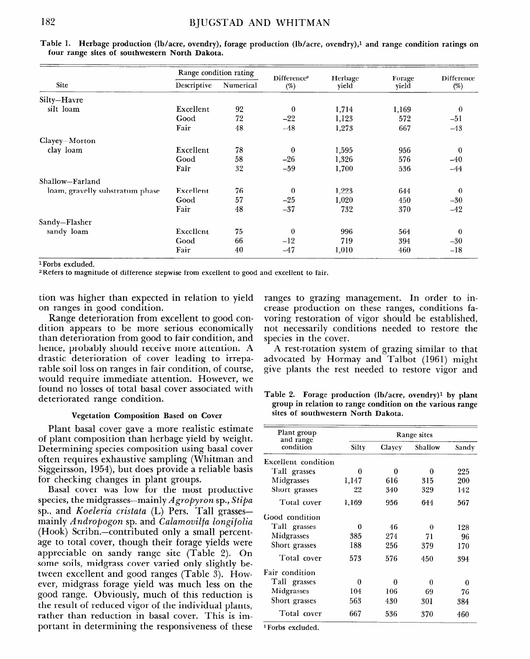|                                 | Range condition rating |           | Difference <sup>2</sup> | Herbage | Forage | Difference   |
|---------------------------------|------------------------|-----------|-------------------------|---------|--------|--------------|
| Site                            | Descriptive            | Numerical | $(\%)$                  | yield   | yield  | $(\%)$       |
| Silty-Havre                     |                        |           |                         |         |        |              |
| silt loam                       | Excellent              | 92        | $\bf{0}$                | 1,714   | 1,169  | $\theta$     |
|                                 | Good                   | 72        | $-22$                   | 1,123   | 572    | $-51$        |
|                                 | Fair                   | 48        | $-48$                   | 1,273   | 667    | $-43$        |
| Clayey-Morton                   |                        |           |                         |         |        |              |
| clay loam                       | Excellent              | 78        | $\theta$                | 1,595   | 956    | $\mathbf{0}$ |
|                                 | Good                   | 58        | $-26$                   | 1,326   | 576    | $-40$        |
|                                 | Fair                   | 32        | $-59$                   | 1,700   | 536    | $-44$        |
| Shallow-Farland                 |                        |           |                         |         |        |              |
| loam, gravelly substratum phase | Excellent              | 76        | $\theta$                | 1,223   | 644    | $\mathbf{0}$ |
|                                 | Good                   | 57        | $-25$                   | 1,020   | 450    | $-30$        |
|                                 | Fair                   | 48        | $-37$                   | 732     | 370    | $-42$        |
| Sandy-Flasher                   |                        |           |                         |         |        |              |
| sandy loam                      | Excellent              | 75        | $\mathbf{0}$            | 996     | 564    | $\theta$     |
|                                 | Good                   | 66        | $-12$                   | 719     | 394    | $-30$        |
|                                 | Fair                   | 40        | $-47$                   | 1,010   | 460    | $-18$        |

Table 1. Herbage production (lb/acre, ovendry), forage production (lb/acre, ovendry),<sup>1</sup> and range condition ratings on **four range sites of southwestern North Dakota.** 

l Forbs excluded.

2Refers to magnitude of difference stepwise from excellent to good and excellent to fair.

tion was higher than expected in relation to yield on ranges in good condition.

Range deterioration from excellent to good condition appears to be more serious economically than deterioration from good to fair condition, and hence, probably should receive more attention. A drastic deterioration of cover leading to irreparable soil loss on ranges in fair condition, of course, would require immediate attention. However, we found no losses of total basal cover associated with deteriorated range condition.

# **Vegetation Composition Based on Cover**

Plant basal cover gave a more realistic estimate of plant composition than herbage yield by weight. Determining specific composition using the specific condition of the clayer Shallow Sandy Determining species composition using basal cover<br>often requires exhaustive sampling (Whitman and Siten requires exhaustive sampling (with that and excellent condition<br>Siggeirsson, 1954), but does provide a reliable basis Tall grasses 0 0 0 0 235 for checking changes in plant groups. Midgrasses 1,147 616 315 200

for checking changes in plant groups.<br>Basal cover was low for the most productive species, the midgrasses-mainly Agropyron sp., *Stipa*  species, the *hingrasses*-manny *Agropyron* sp., sup sp., and *Koeleria cristata* (L) Pers. Tall grasses mainly Andropogon sp. and Calamovilfa longifolia  $(Hook)$  Scribn.—contributed only a small percentage to total cover, though their forage yields were appreciable on sandy range site  $(Table 2)$ . On some soils, midgrass cover varied only slightly between excellent and good ranges (Table 3). However, midgrass forage yield was much less on the good range. Obviously, much of this reduction is the result of reduced vigor of the individual plants, rather than reduction in basal cover. This is important in determining the responsiveness of these

ranges to grazing management. In order to increase production on these ranges, conditions favoring restoration of vigor should be established, not necessarily conditions needed to restore the species in the cover.

A rest-rotation system of grazing similar to that advocated by Hormay and Talbot (1961) might give plants the rest needed to restore vigor and

**Table 2. Forage production (lb/acre, ovendry)l by plant group in relation to range condition on the various range sites of southwestern North Dakota.** 

| Plant group<br>and range | Range sites |        |          |       |  |
|--------------------------|-------------|--------|----------|-------|--|
| condition                | Silty       | Clayey | Shallow  | Sandy |  |
| Excellent condition      |             |        |          |       |  |
| Tall grasses             | 0           | 0      | 0        | 225   |  |
| Midgrasses               | 1,147       | 616    | 315      | 200   |  |
| Short grasses            | 22          | 340    | 329      | 142   |  |
| Total cover              | 1,169       | 956    | 644      | 567   |  |
| Good condition           |             |        |          |       |  |
| Tall grasses             | 0           | 46     | $\theta$ | 128   |  |
| Midgrasses               | 385         | 274    | 71       | 96    |  |
| Short grasses            | 188         | 256    | 379      | 170   |  |
| Total cover              | 573         | 576    | 450      | 394   |  |
| Fair condition           |             |        |          |       |  |
| Tall grasses             | 0           | 0      | 0        | 0     |  |
| Midgrasses               | 104         | 106    | 69       | 76    |  |
| Short grasses            | 563         | 430    | 301      | 384   |  |
| Total cover              | 667         | 536    | 370      | 460   |  |

<sup>1</sup>Forbs excluded.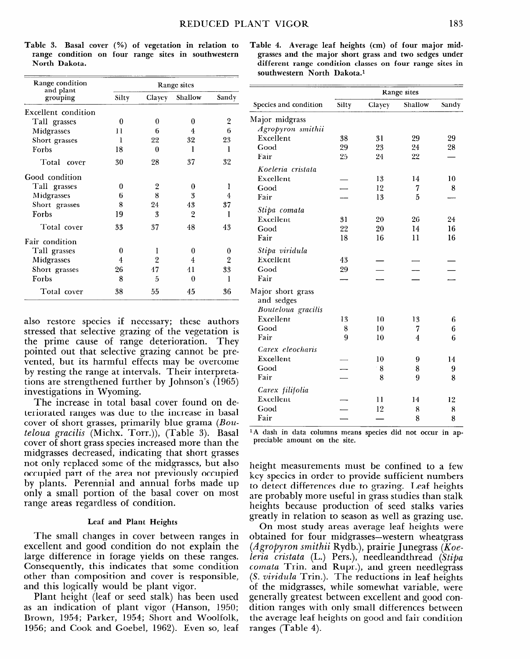| Range condition       | Range sites |    |                |                |  |
|-----------------------|-------------|----|----------------|----------------|--|
| and plant<br>grouping | Silty       |    | Clayey Shallow | Sandy          |  |
| Excellent condition   |             |    |                |                |  |
| Tall grasses          | 0           | 0  | 0              | $\overline{2}$ |  |
| Midgrasses            | 11          | 6  | 4              | 6              |  |
| Short grasses         | 1           | 22 | 32             | 23             |  |
| Forbs                 | 18          | 0  | 1              | 1              |  |
| Total cover           | 30          | 28 | 37             | 32             |  |
| Good condition        |             |    |                |                |  |
| Tall grasses          | 0           | 2  | 0              | l              |  |
| Midgrasses            | 6           | 8  | 3              | 4              |  |
| Short grasses         | 8           | 24 | 43             | 37             |  |
| Forbs                 | 19          | 3  | 2              | I              |  |
| Total cover           | 33          | 37 | 48             | 43             |  |
| Fair condition        |             |    |                |                |  |
| Tall grasses          | 0           | ı  | 0              | 0              |  |
| Midgrasses            | 4           | 2  | 4              | 2              |  |
| Short grasses         | 26          | 47 | 41             | 33             |  |
| Forbs                 | 8           | 5  | 0              | l              |  |
| Total cover           | 38          | 55 | 45             | 36             |  |

**Table 3. Basal cover (%) of vegetation in relation to range condition on four range sites in southwestern North Dakota.** 

also restore species if necessary; these authors stressed that selective grazing of the vegetation is the prime cause of range deterioration. They pointed out that selective grazing cannot be prevented, but its harmful effects may be overcome by resting the range at intervals. Their interpretations are strengthened further by Johnson's (1965) investigations in Wyoming.

The increase in total basal cover found on deteriorated ranges was due to the increase in basal cover of short grasses, primarily blue grama (Bou*teloua gracilis* (Michx. Torr.)), (Table 3). Basal cover gracus (michal cont), (cable b). Dasar cover of short grass speeles increased more than the midgrasses decreased, indicating that short grasses not only replaced some of the midgrasses, but also occupied part of the area not previously occupied by plants. Perennial and annual forbs made up only a small portion of the basal cover on most range areas regardless of condition.

# **Leaf and Plant Heights**

 $T$  small changes in cover between ranges in cover between ranges in cover between  $\mathbf{r}$ excellent and good conditions and good conditions of the notation do not explain the state of the north state of the north state of the north state of the north state of the north state of the north state of the north stat excellent and good condition do not explain the large difference in forage yields on these ranges. Consequently, this indicates that some condition other than composition and cover is responsible, and this logically would be plant vigor.

Plant height (leaf or seed stalk) has been used as an indication of plant vigor (Hanson, 1950; Brown, 1954; Parker, 1954; Short and Woolfolk, 1956; and Cook and Goebel, 1962). Even so, leaf

| Table 4. Average leaf heights (cm) of four major mid-    |  |
|----------------------------------------------------------|--|
| grasses and the major short grass and two sedges under   |  |
| different range condition classes on four range sites in |  |
| southwestern North Dakota. <sup>1</sup>                  |  |

|                       | Range sites |        |         |       |  |
|-----------------------|-------------|--------|---------|-------|--|
| Species and condition | Silty       | Clayey | Shallow | Sandy |  |
| Major midgrass        |             |        |         |       |  |
| Agropyron smithii     |             |        |         |       |  |
| Excellent             | 38          | 31     | 29      | 29    |  |
| Good                  | 29          | 23     | 24      | 28    |  |
| Fair                  | 25          | 24     | 22      |       |  |
| Koeleria cristata     |             |        |         |       |  |
| Excellent             |             | 13     | 14      | 10    |  |
| Good                  |             | 12     | 7       | 8     |  |
| Fair                  |             | 13     | 5       |       |  |
| Stipa comata          |             |        |         |       |  |
| Excellent             | 31          | 20     | 26      | 24    |  |
| Good                  | 22          | 20     | 14      | 16    |  |
| Fair                  | 18          | 16     | 11      | 16    |  |
| Stipa viridula        |             |        |         |       |  |
| Excellent             | 43          |        |         |       |  |
| Good                  | 29          |        |         |       |  |
| Fair                  |             |        |         |       |  |
| Major short grass     |             |        |         |       |  |
| and sedges            |             |        |         |       |  |
| Bouteloua gracilis    |             |        |         |       |  |
| Excellent             | 13          | 10     | 13      | 6     |  |
| Good                  | 8           | 10     | 7       | 6     |  |
| Fair                  | 9           | 10     | 4       | 6     |  |
| Carex eleocharis      |             |        |         |       |  |
| Excellent             |             | 10     | 9       | 14    |  |
| Good                  |             | 8      | 8       | 9     |  |
| Fair                  |             | 8      | 9       | 8     |  |
| Carex filifolia       |             |        |         |       |  |
| Excellent             |             | 11     | 14      | 12    |  |
| Good                  |             | 12     | 8       | 8     |  |
| Fair                  |             |        | 8       | 8     |  |

1A dash in data columns means species did not occur in ap-A uasil in uata columns meal

height measurements must be confined to a few  $\mathbf{r}$ key species in the sufficient of the sufficient of the sufficient of the sufficient of the sufficient of the sufficient of the sufficient of the sufficient of the sufficient of the sufficient of the sufficient of the suffi key species in order to provide sufficient numbers to detect differences due to grazing. Leaf heights are probably more useful in grass studies than stalk heights because production of seed stalks varies. greatly in relation to season as well as grazing use.

On most study areas average leaf heights were obtained for four midgrasses—western wheatgrass *(Agropyron smithii Rydb.), prairie Junegrass (Koe*leria cristata (L.) Pers.), needleandthread (Stipa *comata* Trin. and Rupr.), and green needlegrass (S. viridula Trin.). The reductions in leaf heights of the midgrasses, while somewhat variable, were generally greatest between excellent and good condition ranges with only small differences between the average leaf heights on good and fair condition<br>ranges (Table 4).